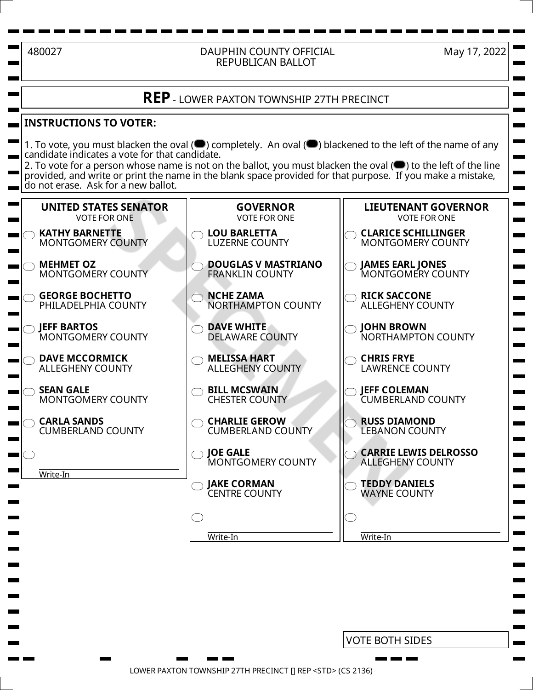## 480027 DAUPHIN COUNTY OFFICIAL REPUBLICAN BALLOT

May 17, 2022

## **REP**- LOWER PAXTON TOWNSHIP 27TH PRECINCT

## **INSTRUCTIONS TO VOTER:**

1. To vote, you must blacken the oval (<sup>1</sup>) completely. An oval (<sup>2</sup>) blackened to the left of the name of any candidate indicates a vote for that candidate.

2. To vote for a person whose name is not on the ballot, you must blacken the oval  $($ **)** to the left of the line provided, and write or print the name in the blank space provided for that purpose. If you make a mistake, do not erase. Ask for a new ballot.